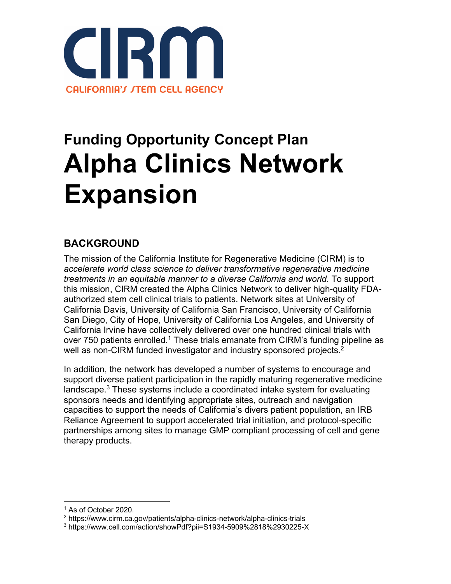

# **Funding Opportunity Concept Plan Alpha Clinics Network Expansion**

## **BACKGROUND**

The mission of the California Institute for Regenerative Medicine (CIRM) is to *accelerate world class science to deliver transformative regenerative medicine treatments in an equitable manner to a diverse California and world*. To support this mission, CIRM created the Alpha Clinics Network to deliver high-quality FDAauthorized stem cell clinical trials to patients. Network sites at University of California Davis, University of California San Francisco, University of California San Diego, City of Hope, University of California Los Angeles, and University of California Irvine have collectively delivered over one hundred clinical trials with over 750 patients enrolled.<sup>1</sup> These trials emanate from CIRM's funding pipeline as well as non-CIRM funded investigator and industry sponsored projects.<sup>2</sup>

In addition, the network has developed a number of systems to encourage and support diverse patient participation in the rapidly maturing regenerative medicine landscape.3 These systems include a coordinated intake system for evaluating sponsors needs and identifying appropriate sites, outreach and navigation capacities to support the needs of California's divers patient population, an IRB Reliance Agreement to support accelerated trial initiation, and protocol-specific partnerships among sites to manage GMP compliant processing of cell and gene therapy products.

<sup>1</sup> As of October 2020.

<sup>2</sup> https://www.cirm.ca.gov/patients/alpha-clinics-network/alpha-clinics-trials

<sup>3</sup> https://www.cell.com/action/showPdf?pii=S1934-5909%2818%2930225-X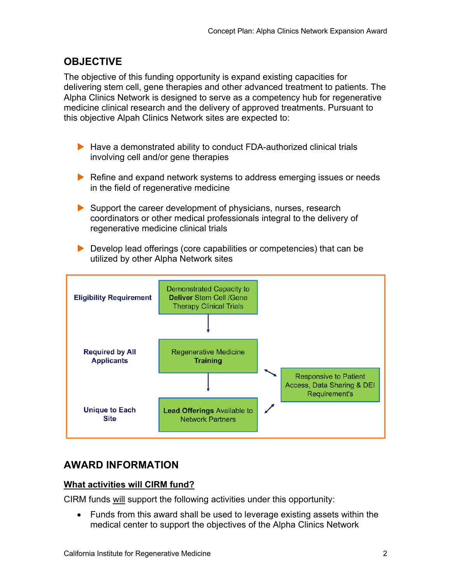## **OBJECTIVE**

The objective of this funding opportunity is expand existing capacities for delivering stem cell, gene therapies and other advanced treatment to patients. The Alpha Clinics Network is designed to serve as a competency hub for regenerative medicine clinical research and the delivery of approved treatments. Pursuant to this objective Alpah Clinics Network sites are expected to:

- $\blacktriangleright$  Have a demonstrated ability to conduct FDA-authorized clinical trials involving cell and/or gene therapies
- $\blacktriangleright$  Refine and expand network systems to address emerging issues or needs in the field of regenerative medicine
- $\triangleright$  Support the career development of physicians, nurses, research coordinators or other medical professionals integral to the delivery of regenerative medicine clinical trials
- $\blacktriangleright$  Develop lead offerings (core capabilities or competencies) that can be utilized by other Alpha Network sites



## **AWARD INFORMATION**

#### **What activities will CIRM fund?**

CIRM funds will support the following activities under this opportunity:

• Funds from this award shall be used to leverage existing assets within the medical center to support the objectives of the Alpha Clinics Network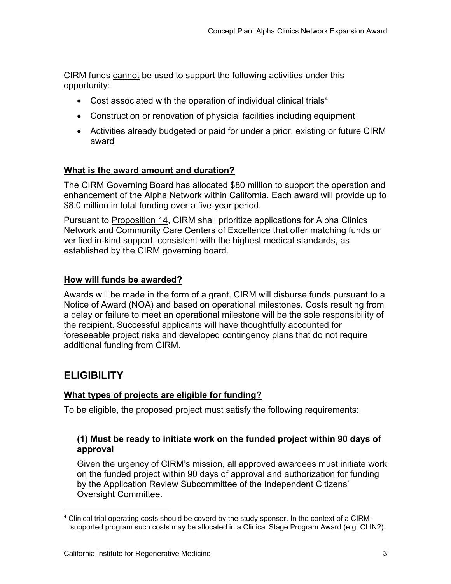CIRM funds cannot be used to support the following activities under this opportunity:

- Cost associated with the operation of individual clinical trials<sup>4</sup>
- Construction or renovation of physicial facilities including equipment
- Activities already budgeted or paid for under a prior, existing or future CIRM award

#### **What is the award amount and duration?**

The CIRM Governing Board has allocated \$80 million to support the operation and enhancement of the Alpha Network within California. Each award will provide up to \$8.0 million in total funding over a five-year period.

Pursuant to Proposition 14, CIRM shall prioritize applications for Alpha Clinics Network and Community Care Centers of Excellence that offer matching funds or verified in-kind support, consistent with the highest medical standards, as established by the CIRM governing board.

#### **How will funds be awarded?**

Awards will be made in the form of a grant. CIRM will disburse funds pursuant to a Notice of Award (NOA) and based on operational milestones. Costs resulting from a delay or failure to meet an operational milestone will be the sole responsibility of the recipient. Successful applicants will have thoughtfully accounted for foreseeable project risks and developed contingency plans that do not require additional funding from CIRM.

### **ELIGIBILITY**

#### **What types of projects are eligible for funding?**

To be eligible, the proposed project must satisfy the following requirements:

#### **(1) Must be ready to initiate work on the funded project within 90 days of approval**

Given the urgency of CIRM's mission, all approved awardees must initiate work on the funded project within 90 days of approval and authorization for funding by the Application Review Subcommittee of the Independent Citizens' Oversight Committee.

<sup>4</sup> Clinical trial operating costs should be coverd by the study sponsor. In the context of a CIRMsupported program such costs may be allocated in a Clinical Stage Program Award (e.g. CLIN2).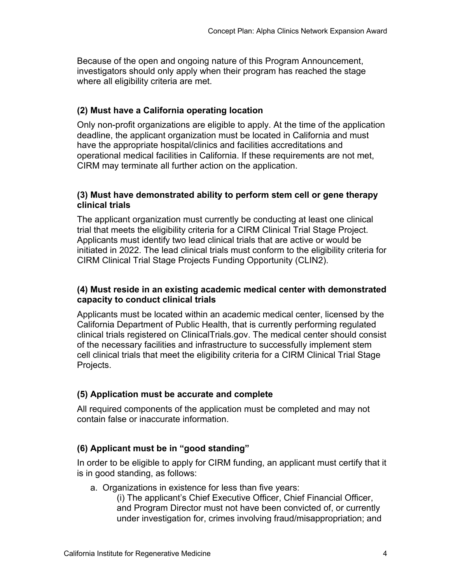Because of the open and ongoing nature of this Program Announcement, investigators should only apply when their program has reached the stage where all eligibility criteria are met.

#### **(2) Must have a California operating location**

Only non-profit organizations are eligible to apply. At the time of the application deadline, the applicant organization must be located in California and must have the appropriate hospital/clinics and facilities accreditations and operational medical facilities in California. If these requirements are not met, CIRM may terminate all further action on the application.

#### **(3) Must have demonstrated ability to perform stem cell or gene therapy clinical trials**

The applicant organization must currently be conducting at least one clinical trial that meets the eligibility criteria for a CIRM Clinical Trial Stage Project. Applicants must identify two lead clinical trials that are active or would be initiated in 2022. The lead clinical trials must conform to the eligibility criteria for CIRM Clinical Trial Stage Projects Funding Opportunity (CLIN2).

#### **(4) Must reside in an existing academic medical center with demonstrated capacity to conduct clinical trials**

Applicants must be located within an academic medical center, licensed by the California Department of Public Health, that is currently performing regulated clinical trials registered on ClinicalTrials.gov. The medical center should consist of the necessary facilities and infrastructure to successfully implement stem cell clinical trials that meet the eligibility criteria for a CIRM Clinical Trial Stage Projects.

#### **(5) Application must be accurate and complete**

All required components of the application must be completed and may not contain false or inaccurate information.

#### **(6) Applicant must be in "good standing"**

In order to be eligible to apply for CIRM funding, an applicant must certify that it is in good standing, as follows:

a. Organizations in existence for less than five years:

(i) The applicant's Chief Executive Officer, Chief Financial Officer, and Program Director must not have been convicted of, or currently under investigation for, crimes involving fraud/misappropriation; and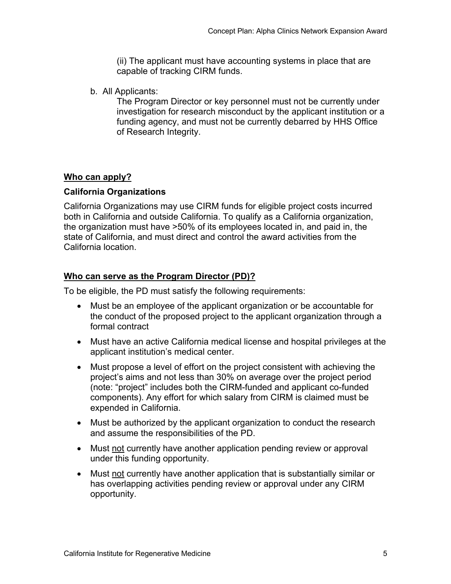(ii) The applicant must have accounting systems in place that are capable of tracking CIRM funds.

b. All Applicants:

The Program Director or key personnel must not be currently under investigation for research misconduct by the applicant institution or a funding agency, and must not be currently debarred by HHS Office of Research Integrity.

#### **Who can apply?**

#### **California Organizations**

California Organizations may use CIRM funds for eligible project costs incurred both in California and outside California. To qualify as a California organization, the organization must have >50% of its employees located in, and paid in, the state of California, and must direct and control the award activities from the California location.

#### **Who can serve as the Program Director (PD)?**

To be eligible, the PD must satisfy the following requirements:

- Must be an employee of the applicant organization or be accountable for the conduct of the proposed project to the applicant organization through a formal contract
- Must have an active California medical license and hospital privileges at the applicant institution's medical center.
- Must propose a level of effort on the project consistent with achieving the project's aims and not less than 30% on average over the project period (note: "project" includes both the CIRM-funded and applicant co-funded components). Any effort for which salary from CIRM is claimed must be expended in California.
- Must be authorized by the applicant organization to conduct the research and assume the responsibilities of the PD.
- Must not currently have another application pending review or approval under this funding opportunity.
- Must not currently have another application that is substantially similar or has overlapping activities pending review or approval under any CIRM opportunity.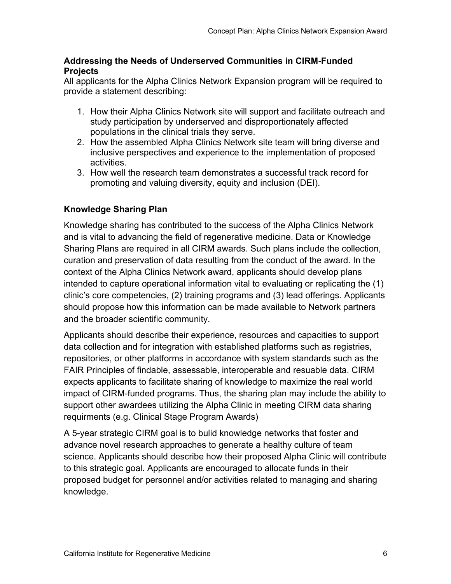#### **Addressing the Needs of Underserved Communities in CIRM-Funded Projects**

All applicants for the Alpha Clinics Network Expansion program will be required to provide a statement describing:

- 1. How their Alpha Clinics Network site will support and facilitate outreach and study participation by underserved and disproportionately affected populations in the clinical trials they serve.
- 2. How the assembled Alpha Clinics Network site team will bring diverse and inclusive perspectives and experience to the implementation of proposed activities.
- 3. How well the research team demonstrates a successful track record for promoting and valuing diversity, equity and inclusion (DEI).

#### **Knowledge Sharing Plan**

Knowledge sharing has contributed to the success of the Alpha Clinics Network and is vital to advancing the field of regenerative medicine. Data or Knowledge Sharing Plans are required in all CIRM awards. Such plans include the collection, curation and preservation of data resulting from the conduct of the award. In the context of the Alpha Clinics Network award, applicants should develop plans intended to capture operational information vital to evaluating or replicating the (1) clinic's core competencies, (2) training programs and (3) lead offerings. Applicants should propose how this information can be made available to Network partners and the broader scientific community.

Applicants should describe their experience, resources and capacities to support data collection and for integration with established platforms such as registries, repositories, or other platforms in accordance with system standards such as the FAIR Principles of findable, assessable, interoperable and resuable data. CIRM expects applicants to facilitate sharing of knowledge to maximize the real world impact of CIRM-funded programs. Thus, the sharing plan may include the ability to support other awardees utilizing the Alpha Clinic in meeting CIRM data sharing requirments (e.g. Clinical Stage Program Awards)

A 5-year strategic CIRM goal is to bulid knowledge networks that foster and advance novel research approaches to generate a healthy culture of team science. Applicants should describe how their proposed Alpha Clinic will contribute to this strategic goal. Applicants are encouraged to allocate funds in their proposed budget for personnel and/or activities related to managing and sharing knowledge.